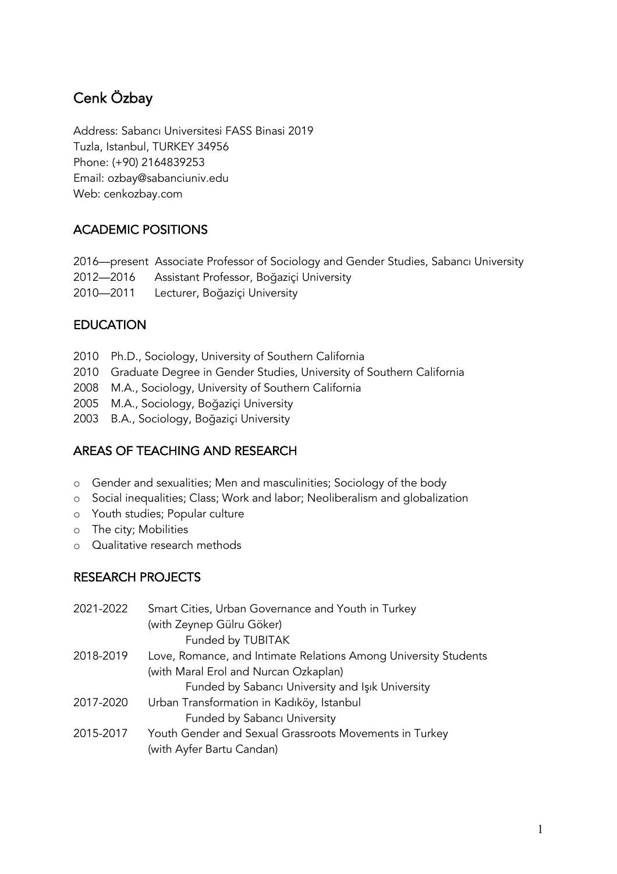# Cenk Özbay

Address: Sabancı Universitesi FASS Binasi 2019 Tuzla, Istanbul, TURKEY 34956 Phone: (+90) 2164839253 Email: ozbay@sabanciuniv.edu Web: cenkozbay.com

### ACADEMIC POSITIONS

2016—present Associate Professor of Sociology and Gender Studies, Sabancı University 2012—2016 Assistant Professor, Boğaziçi University 2010—2011 Lecturer, Boğaziçi University

#### EDUCATION

- 2010 Ph.D., Sociology, University of Southern California
- 2010 Graduate Degree in Gender Studies, University of Southern California
- 2008 M.A., Sociology, University of Southern California
- 2005 M.A., Sociology, Boğaziçi University
- 2003 B.A., Sociology, Boğaziçi University

#### AREAS OF TEACHING AND RESEARCH

- o Gender and sexualities; Men and masculinities; Sociology of the body
- o Social inequalities; Class; Work and labor; Neoliberalism and globalization
- o Youth studies; Popular culture
- o The city; Mobilities
- o Qualitative research methods

#### RESEARCH PROJECTS

| 2021-2022 | Smart Cities, Urban Governance and Youth in Turkey              |
|-----------|-----------------------------------------------------------------|
|           | (with Zeynep Gülru Göker)                                       |
|           | Funded by TUBITAK                                               |
| 2018-2019 | Love, Romance, and Intimate Relations Among University Students |
|           | (with Maral Erol and Nurcan Ozkaplan)                           |
|           | Funded by Sabancı University and Işık University                |
| 2017-2020 | Urban Transformation in Kadıköy, Istanbul                       |
|           | Funded by Sabancı University                                    |
| 2015-2017 | Youth Gender and Sexual Grassroots Movements in Turkey          |
|           | (with Ayfer Bartu Candan)                                       |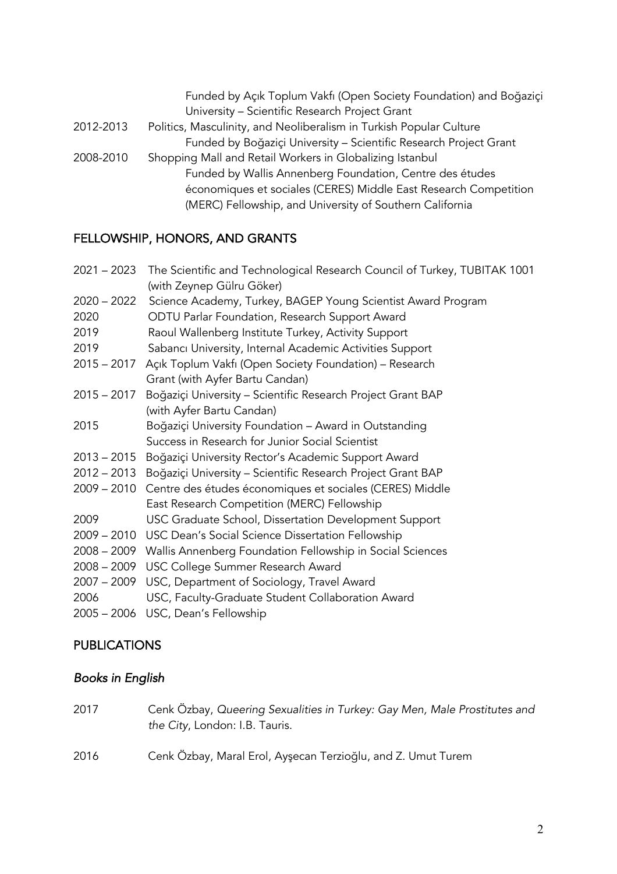Funded by Açık Toplum Vakfı (Open Society Foundation) and Boğaziçi University – Scientific Research Project Grant 2012-2013 Politics, Masculinity, and Neoliberalism in Turkish Popular Culture Funded by Boğaziçi University – Scientific Research Project Grant 2008-2010 Shopping Mall and Retail Workers in Globalizing Istanbul Funded by Wallis Annenberg Foundation, Centre des études économiques et sociales (CERES) Middle East Research Competition (MERC) Fellowship, and University of Southern California

#### FELLOWSHIP, HONORS, AND GRANTS

| 2021 – 2023 The Scientific and Technological Research Council of Turkey, TUBITAK 1001 |                                                                         |
|---------------------------------------------------------------------------------------|-------------------------------------------------------------------------|
|                                                                                       | (with Zeynep Gülru Göker)                                               |
| $2020 - 2022$                                                                         | Science Academy, Turkey, BAGEP Young Scientist Award Program            |
| 2020                                                                                  | ODTU Parlar Foundation, Research Support Award                          |
| 2019                                                                                  | Raoul Wallenberg Institute Turkey, Activity Support                     |
| 2019                                                                                  | Sabancı University, Internal Academic Activities Support                |
| $2015 - 2017$                                                                         | Açık Toplum Vakfı (Open Society Foundation) – Research                  |
|                                                                                       | Grant (with Ayfer Bartu Candan)                                         |
| $2015 - 2017$                                                                         | Boğaziçi University - Scientific Research Project Grant BAP             |
|                                                                                       | (with Ayfer Bartu Candan)                                               |
| 2015                                                                                  | Boğaziçi University Foundation - Award in Outstanding                   |
|                                                                                       | Success in Research for Junior Social Scientist                         |
|                                                                                       | 2013 - 2015 Boğaziçi University Rector's Academic Support Award         |
|                                                                                       | 2012 – 2013 Boğaziçi University – Scientific Research Project Grant BAP |
|                                                                                       | 2009 – 2010 Centre des études économiques et sociales (CERES) Middle    |
|                                                                                       | East Research Competition (MERC) Fellowship                             |
| 2009                                                                                  | USC Graduate School, Dissertation Development Support                   |
|                                                                                       | 2009 - 2010 USC Dean's Social Science Dissertation Fellowship           |
|                                                                                       | 2008 – 2009 Wallis Annenberg Foundation Fellowship in Social Sciences   |
|                                                                                       | 2008 - 2009 USC College Summer Research Award                           |
|                                                                                       | 2007 - 2009 USC, Department of Sociology, Travel Award                  |
| 2006                                                                                  | USC, Faculty-Graduate Student Collaboration Award                       |
|                                                                                       | 2005 - 2006 USC, Dean's Fellowship                                      |

# **PUBLICATIONS**

#### *Books in English*

2017 Cenk Özbay, *Queering Sexualities in Turkey: Gay Men, Male Prostitutes and the City*, London: I.B. Tauris. 2016 Cenk Özbay, Maral Erol, Ayşecan Terzioğlu, and Z. Umut Turem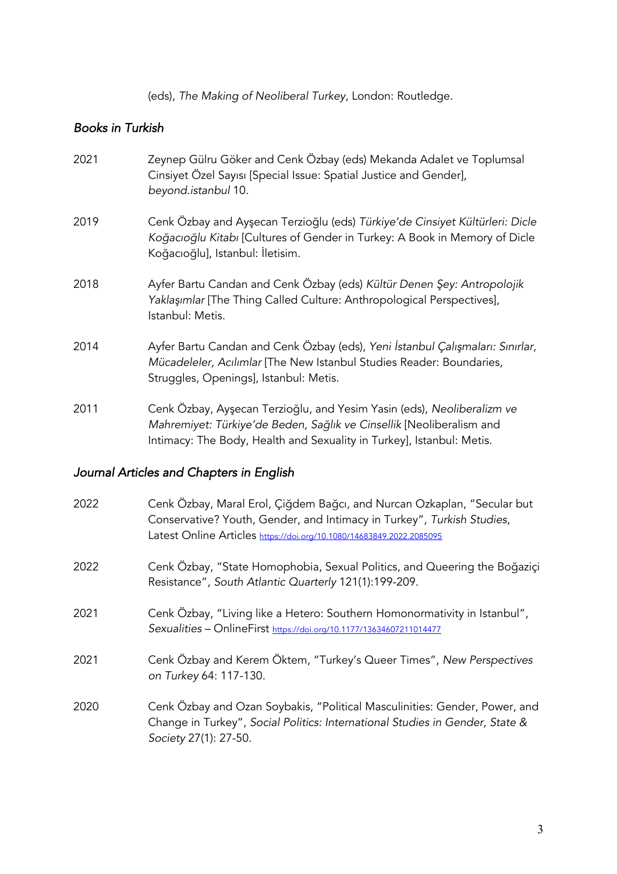(eds), *The Making of Neoliberal Turkey*, London: Routledge.

#### *Books in Turkish*

| 2021 | Zeynep Gülru Göker and Cenk Özbay (eds) Mekanda Adalet ve Toplumsal<br>Cinsiyet Özel Sayısı [Special Issue: Spatial Justice and Gender],<br>beyond.istanbul 10.                                                         |
|------|-------------------------------------------------------------------------------------------------------------------------------------------------------------------------------------------------------------------------|
| 2019 | Cenk Özbay and Ayşecan Terzioğlu (eds) Türkiye'de Cinsiyet Kültürleri: Dicle<br>Koğacıoğlu Kitabı [Cultures of Gender in Turkey: A Book in Memory of Dicle<br>Koğacıoğlu], Istanbul: İletisim.                          |
| 2018 | Ayfer Bartu Candan and Cenk Özbay (eds) Kültür Denen Şey: Antropolojik<br>Yaklaşımlar [The Thing Called Culture: Anthropological Perspectives],<br>Istanbul: Metis.                                                     |
| 2014 | Ayfer Bartu Candan and Cenk Özbay (eds), Yeni İstanbul Çalışmaları: Sınırlar,<br>Mücadeleler, Acılımlar [The New Istanbul Studies Reader: Boundaries,<br>Struggles, Openings], Istanbul: Metis.                         |
| 2011 | Cenk Ozbay, Ayşecan Terzioğlu, and Yesim Yasin (eds), Neoliberalizm ve<br>Mahremiyet: Türkiye'de Beden, Sağlık ve Cinsellik [Neoliberalism and<br>Intimacy: The Body, Health and Sexuality in Turkey], Istanbul: Metis. |

# *Journal Articles and Chapters in English*

| 2022 | Cenk Özbay, Maral Erol, Çiğdem Bağcı, and Nurcan Ozkaplan, "Secular but<br>Conservative? Youth, Gender, and Intimacy in Turkey", Turkish Studies,<br>Latest Online Articles https://doi.org/10.1080/14683849.2022.2085095 |
|------|---------------------------------------------------------------------------------------------------------------------------------------------------------------------------------------------------------------------------|
| 2022 | Cenk Özbay, "State Homophobia, Sexual Politics, and Queering the Boğaziçi<br>Resistance", South Atlantic Quarterly 121(1):199-209.                                                                                        |
| 2021 | Cenk Özbay, "Living like a Hetero: Southern Homonormativity in Istanbul",<br>Sexualities - OnlineFirst https://doi.org/10.1177/13634607211014477                                                                          |
| 2021 | Cenk Özbay and Kerem Öktem, "Turkey's Queer Times", New Perspectives<br>on Turkey 64: 117-130.                                                                                                                            |
| 2020 | Cenk Özbay and Ozan Soybakis, "Political Masculinities: Gender, Power, and<br>Change in Turkey", Social Politics: International Studies in Gender, State &<br>Society 27(1): 27-50.                                       |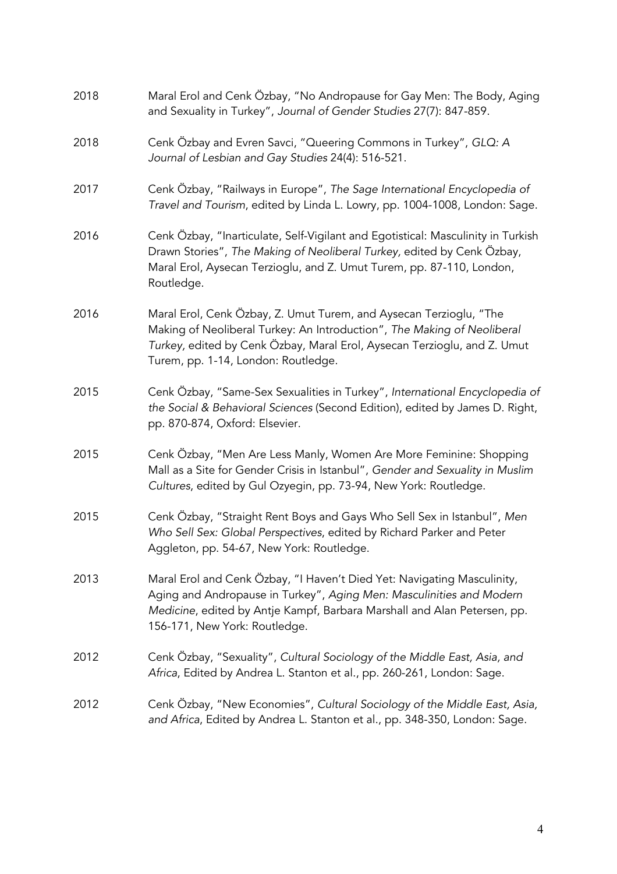| 2018 | Maral Erol and Cenk Özbay, "No Andropause for Gay Men: The Body, Aging<br>and Sexuality in Turkey", Journal of Gender Studies 27(7): 847-859.                                                                                                                    |
|------|------------------------------------------------------------------------------------------------------------------------------------------------------------------------------------------------------------------------------------------------------------------|
| 2018 | Cenk Özbay and Evren Savci, "Queering Commons in Turkey", GLQ: A<br>Journal of Lesbian and Gay Studies 24(4): 516-521.                                                                                                                                           |
| 2017 | Cenk Özbay, "Railways in Europe", The Sage International Encyclopedia of<br>Travel and Tourism, edited by Linda L. Lowry, pp. 1004-1008, London: Sage.                                                                                                           |
| 2016 | Cenk Özbay, "Inarticulate, Self-Vigilant and Egotistical: Masculinity in Turkish<br>Drawn Stories", The Making of Neoliberal Turkey, edited by Cenk Özbay,<br>Maral Erol, Aysecan Terzioglu, and Z. Umut Turem, pp. 87-110, London,<br>Routledge.                |
| 2016 | Maral Erol, Cenk Özbay, Z. Umut Turem, and Aysecan Terzioglu, "The<br>Making of Neoliberal Turkey: An Introduction", The Making of Neoliberal<br>Turkey, edited by Cenk Özbay, Maral Erol, Aysecan Terzioglu, and Z. Umut<br>Turem, pp. 1-14, London: Routledge. |
| 2015 | Cenk Özbay, "Same-Sex Sexualities in Turkey", International Encyclopedia of<br>the Social & Behavioral Sciences (Second Edition), edited by James D. Right,<br>pp. 870-874, Oxford: Elsevier.                                                                    |
| 2015 | Cenk Özbay, "Men Are Less Manly, Women Are More Feminine: Shopping<br>Mall as a Site for Gender Crisis in Istanbul", Gender and Sexuality in Muslim<br>Cultures, edited by Gul Ozyegin, pp. 73-94, New York: Routledge.                                          |
| 2015 | Cenk Özbay, "Straight Rent Boys and Gays Who Sell Sex in Istanbul", Men<br>Who Sell Sex: Global Perspectives, edited by Richard Parker and Peter<br>Aggleton, pp. 54-67, New York: Routledge.                                                                    |
| 2013 | Maral Erol and Cenk Özbay, "I Haven't Died Yet: Navigating Masculinity,<br>Aging and Andropause in Turkey", Aging Men: Masculinities and Modern<br>Medicine, edited by Antje Kampf, Barbara Marshall and Alan Petersen, pp.<br>156-171, New York: Routledge.     |
| 2012 | Cenk Özbay, "Sexuality", Cultural Sociology of the Middle East, Asia, and<br>Africa, Edited by Andrea L. Stanton et al., pp. 260-261, London: Sage.                                                                                                              |
| 2012 | Cenk Özbay, "New Economies", Cultural Sociology of the Middle East, Asia,<br>and Africa, Edited by Andrea L. Stanton et al., pp. 348-350, London: Sage.                                                                                                          |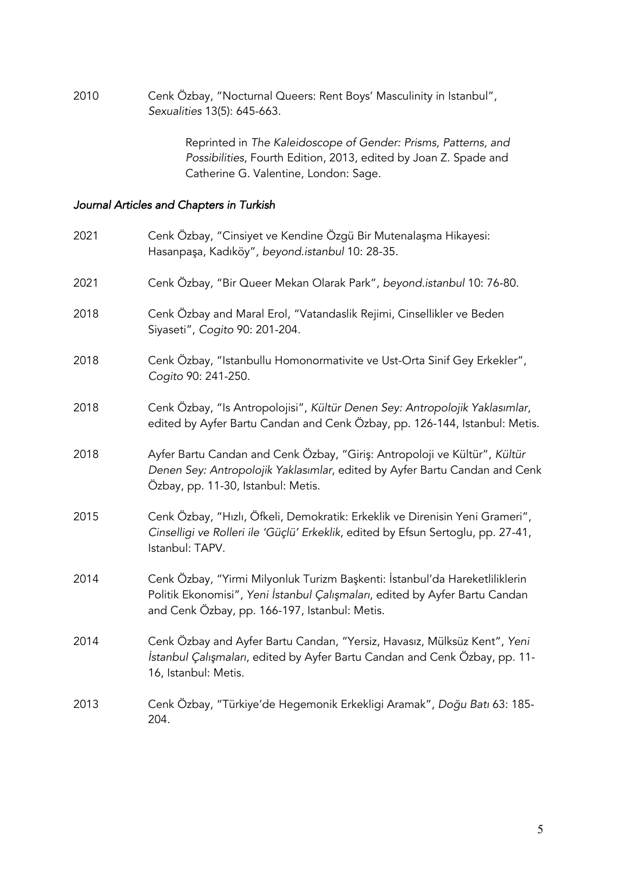2010 Cenk Özbay, "Nocturnal Queers: Rent Boys' Masculinity in Istanbul", *Sexualities* 13(5): 645-663.

> Reprinted in *The Kaleidoscope of Gender: Prisms, Patterns, and Possibilities*, Fourth Edition, 2013, edited by Joan Z. Spade and Catherine G. Valentine, London: Sage.

#### *Journal Articles and Chapters in Turkish*

| 2021 | Cenk Ozbay, "Cinsiyet ve Kendine Ozgü Bir Mutenalaşma Hikayesi:<br>Hasanpaşa, Kadıköy", beyond.istanbul 10: 28-35.                                                                                          |
|------|-------------------------------------------------------------------------------------------------------------------------------------------------------------------------------------------------------------|
| 2021 | Cenk Özbay, "Bir Queer Mekan Olarak Park", beyond.istanbul 10: 76-80.                                                                                                                                       |
| 2018 | Cenk Özbay and Maral Erol, "Vatandaslik Rejimi, Cinsellikler ve Beden<br>Siyaseti", Cogito 90: 201-204.                                                                                                     |
| 2018 | Cenk Özbay, "Istanbullu Homonormativite ve Ust-Orta Sinif Gey Erkekler",<br>Cogito 90: 241-250.                                                                                                             |
| 2018 | Cenk Özbay, "Is Antropolojisi", Kültür Denen Sey: Antropolojik Yaklasımlar,<br>edited by Ayfer Bartu Candan and Cenk Özbay, pp. 126-144, Istanbul: Metis.                                                   |
| 2018 | Ayfer Bartu Candan and Cenk Özbay, "Giriş: Antropoloji ve Kültür", Kültür<br>Denen Sey: Antropolojik Yaklasımlar, edited by Ayfer Bartu Candan and Cenk<br>Özbay, pp. 11-30, Istanbul: Metis.               |
| 2015 | Cenk Özbay, "Hızlı, Öfkeli, Demokratik: Erkeklik ve Direnisin Yeni Grameri",<br>Cinselligi ve Rolleri ile 'Güçlü' Erkeklik, edited by Efsun Sertoglu, pp. 27-41,<br>Istanbul: TAPV.                         |
| 2014 | Cenk Özbay, "Yirmi Milyonluk Turizm Başkenti: İstanbul'da Hareketliliklerin<br>Politik Ekonomisi", Yeni İstanbul Çalışmaları, edited by Ayfer Bartu Candan<br>and Cenk Özbay, pp. 166-197, Istanbul: Metis. |
| 2014 | Cenk Özbay and Ayfer Bartu Candan, "Yersiz, Havasız, Mülksüz Kent", Yeni<br>İstanbul Çalışmaları, edited by Ayfer Bartu Candan and Cenk Özbay, pp. 11-<br>16, Istanbul: Metis.                              |
| 2013 | Cenk Özbay, "Türkiye'de Hegemonik Erkekligi Aramak", Doğu Batı 63: 185-<br>204.                                                                                                                             |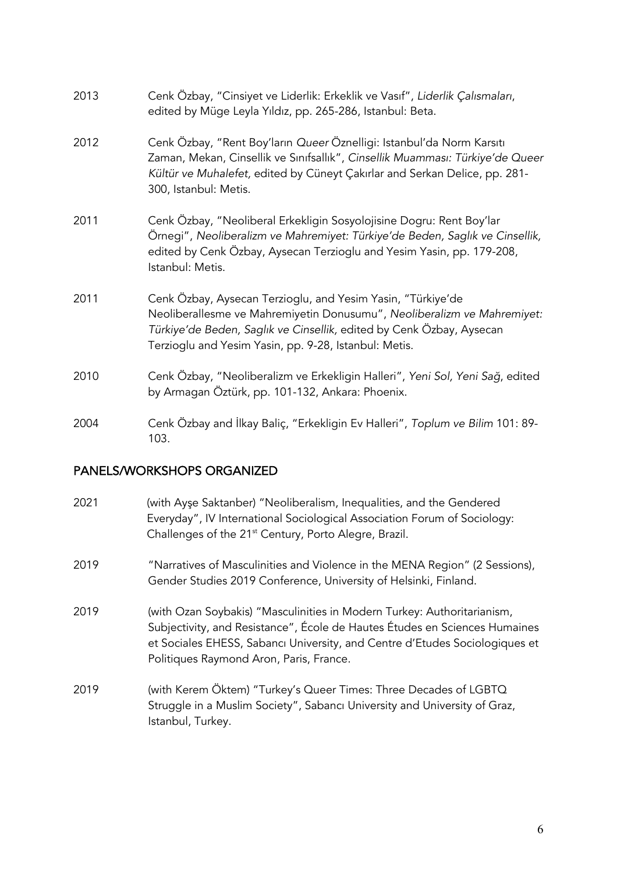| 2013 | Cenk Özbay, "Cinsiyet ve Liderlik: Erkeklik ve Vasıf", Liderlik Çalısmaları,<br>edited by Müge Leyla Yıldız, pp. 265-286, Istanbul: Beta.                                                                                                                               |
|------|-------------------------------------------------------------------------------------------------------------------------------------------------------------------------------------------------------------------------------------------------------------------------|
| 2012 | Cenk Özbay, "Rent Boy'ların Queer Öznelligi: Istanbul'da Norm Karsıtı<br>Zaman, Mekan, Cinsellik ve Sınıfsallık", Cinsellik Muamması: Türkiye'de Queer<br>Kültür ve Muhalefet, edited by Cüneyt Çakırlar and Serkan Delice, pp. 281-<br>300, Istanbul: Metis.           |
| 2011 | Cenk Özbay, "Neoliberal Erkekligin Sosyolojisine Dogru: Rent Boy'lar<br>Örnegi", Neoliberalizm ve Mahremiyet: Türkiye'de Beden, Saglık ve Cinsellik,<br>edited by Cenk Özbay, Aysecan Terzioglu and Yesim Yasin, pp. 179-208,<br>Istanbul: Metis.                       |
| 2011 | Cenk Özbay, Aysecan Terzioglu, and Yesim Yasin, "Türkiye'de<br>Neoliberallesme ve Mahremiyetin Donusumu", Neoliberalizm ve Mahremiyet:<br>Türkiye'de Beden, Saglık ve Cinsellik, edited by Cenk Özbay, Aysecan<br>Terzioglu and Yesim Yasin, pp. 9-28, Istanbul: Metis. |
| 2010 | Cenk Özbay, "Neoliberalizm ve Erkekligin Halleri", Yeni Sol, Yeni Sağ, edited<br>by Armagan Öztürk, pp. 101-132, Ankara: Phoenix.                                                                                                                                       |
| 2004 | Cenk Özbay and İlkay Baliç, "Erkekligin Ev Halleri", Toplum ve Bilim 101: 89-<br>103.                                                                                                                                                                                   |

#### PANELS/WORKSHOPS ORGANIZED

- 2021 (with Ayşe Saktanber) "Neoliberalism, Inequalities, and the Gendered Everyday", IV International Sociological Association Forum of Sociology: Challenges of the 21<sup>st</sup> Century, Porto Alegre, Brazil.
- 2019 "Narratives of Masculinities and Violence in the MENA Region" (2 Sessions), Gender Studies 2019 Conference, University of Helsinki, Finland.
- 2019 (with Ozan Soybakis) "Masculinities in Modern Turkey: Authoritarianism, Subjectivity, and Resistance", École de Hautes Études en Sciences Humaines et Sociales EHESS, Sabancı University, and Centre d'Etudes Sociologiques et Politiques Raymond Aron, Paris, France.
- 2019 (with Kerem Öktem) "Turkey's Queer Times: Three Decades of LGBTQ Struggle in a Muslim Society", Sabancı University and University of Graz, Istanbul, Turkey.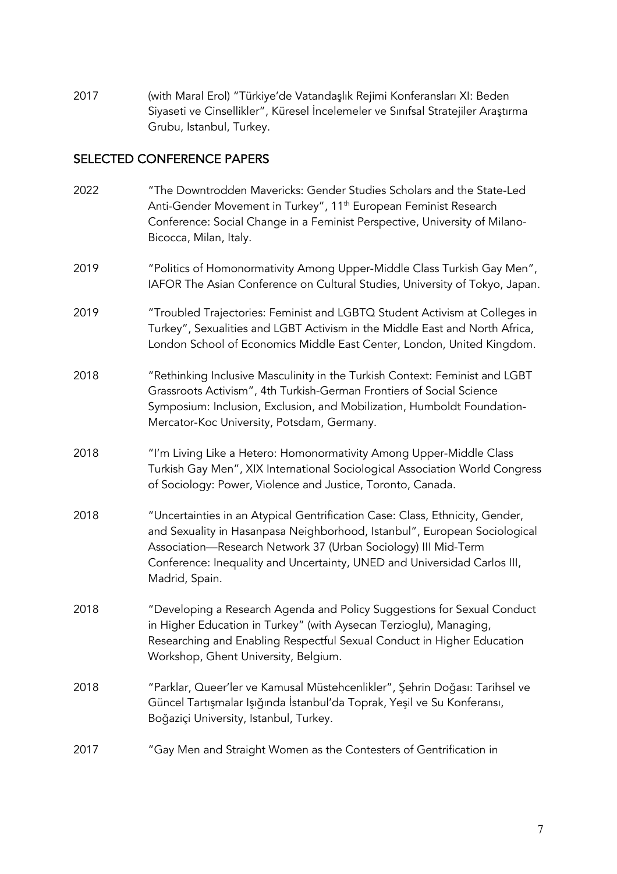2017 (with Maral Erol) "Türkiye'de Vatandaşlık Rejimi Konferansları XI: Beden Siyaseti ve Cinsellikler", Küresel İncelemeler ve Sınıfsal Stratejiler Araştırma Grubu, Istanbul, Turkey.

#### SELECTED CONFERENCE PAPERS

| 2022 | "The Downtrodden Mavericks: Gender Studies Scholars and the State-Led<br>Anti-Gender Movement in Turkey", 11 <sup>th</sup> European Feminist Research<br>Conference: Social Change in a Feminist Perspective, University of Milano-<br>Bicocca, Milan, Italy.                                                             |
|------|---------------------------------------------------------------------------------------------------------------------------------------------------------------------------------------------------------------------------------------------------------------------------------------------------------------------------|
| 2019 | "Politics of Homonormativity Among Upper-Middle Class Turkish Gay Men",<br>IAFOR The Asian Conference on Cultural Studies, University of Tokyo, Japan.                                                                                                                                                                    |
| 2019 | "Troubled Trajectories: Feminist and LGBTQ Student Activism at Colleges in<br>Turkey", Sexualities and LGBT Activism in the Middle East and North Africa,<br>London School of Economics Middle East Center, London, United Kingdom.                                                                                       |
| 2018 | "Rethinking Inclusive Masculinity in the Turkish Context: Feminist and LGBT<br>Grassroots Activism", 4th Turkish-German Frontiers of Social Science<br>Symposium: Inclusion, Exclusion, and Mobilization, Humboldt Foundation-<br>Mercator-Koc University, Potsdam, Germany.                                              |
| 2018 | "I'm Living Like a Hetero: Homonormativity Among Upper-Middle Class<br>Turkish Gay Men", XIX International Sociological Association World Congress<br>of Sociology: Power, Violence and Justice, Toronto, Canada.                                                                                                         |
| 2018 | "Uncertainties in an Atypical Gentrification Case: Class, Ethnicity, Gender,<br>and Sexuality in Hasanpasa Neighborhood, Istanbul", European Sociological<br>Association-Research Network 37 (Urban Sociology) III Mid-Term<br>Conference: Inequality and Uncertainty, UNED and Universidad Carlos III,<br>Madrid, Spain. |
| 2018 | "Developing a Research Agenda and Policy Suggestions for Sexual Conduct<br>in Higher Education in Turkey" (with Aysecan Terzioglu), Managing,<br>Researching and Enabling Respectful Sexual Conduct in Higher Education<br>Workshop, Ghent University, Belgium.                                                           |
| 2018 | "Parklar, Queer'ler ve Kamusal Müstehcenlikler", Şehrin Doğası: Tarihsel ve<br>Güncel Tartışmalar Işığında İstanbul'da Toprak, Yeşil ve Su Konferansı,<br>Boğaziçi University, Istanbul, Turkey.                                                                                                                          |
| 2017 | "Gay Men and Straight Women as the Contesters of Gentrification in                                                                                                                                                                                                                                                        |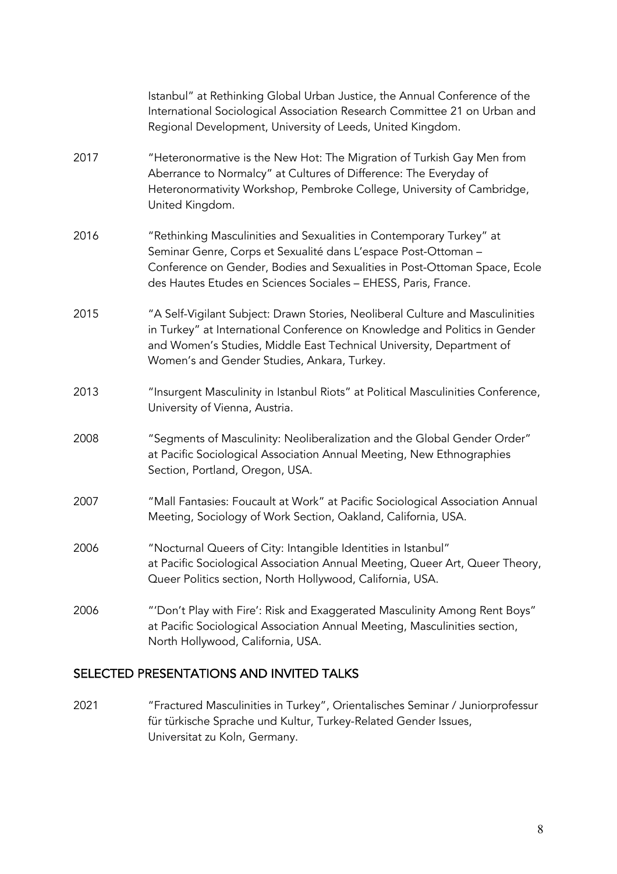|      | Istanbul" at Rethinking Global Urban Justice, the Annual Conference of the<br>International Sociological Association Research Committee 21 on Urban and<br>Regional Development, University of Leeds, United Kingdom.                                                                 |
|------|---------------------------------------------------------------------------------------------------------------------------------------------------------------------------------------------------------------------------------------------------------------------------------------|
| 2017 | "Heteronormative is the New Hot: The Migration of Turkish Gay Men from<br>Aberrance to Normalcy" at Cultures of Difference: The Everyday of<br>Heteronormativity Workshop, Pembroke College, University of Cambridge,<br>United Kingdom.                                              |
| 2016 | "Rethinking Masculinities and Sexualities in Contemporary Turkey" at<br>Seminar Genre, Corps et Sexualité dans L'espace Post-Ottoman -<br>Conference on Gender, Bodies and Sexualities in Post-Ottoman Space, Ecole<br>des Hautes Etudes en Sciences Sociales - EHESS, Paris, France. |
| 2015 | "A Self-Vigilant Subject: Drawn Stories, Neoliberal Culture and Masculinities<br>in Turkey" at International Conference on Knowledge and Politics in Gender<br>and Women's Studies, Middle East Technical University, Department of<br>Women's and Gender Studies, Ankara, Turkey.    |
| 2013 | "Insurgent Masculinity in Istanbul Riots" at Political Masculinities Conference,<br>University of Vienna, Austria.                                                                                                                                                                    |
| 2008 | "Segments of Masculinity: Neoliberalization and the Global Gender Order"<br>at Pacific Sociological Association Annual Meeting, New Ethnographies<br>Section, Portland, Oregon, USA.                                                                                                  |
| 2007 | "Mall Fantasies: Foucault at Work" at Pacific Sociological Association Annual<br>Meeting, Sociology of Work Section, Oakland, California, USA.                                                                                                                                        |
| 2006 | "Nocturnal Queers of City: Intangible Identities in Istanbul"<br>at Pacific Sociological Association Annual Meeting, Queer Art, Queer Theory,<br>Queer Politics section, North Hollywood, California, USA.                                                                            |
| 2006 | "'Don't Play with Fire': Risk and Exaggerated Masculinity Among Rent Boys"<br>at Pacific Sociological Association Annual Meeting, Masculinities section,<br>North Hollywood, California, USA.                                                                                         |

# SELECTED PRESENTATIONS AND INVITED TALKS

2021 "Fractured Masculinities in Turkey", Orientalisches Seminar / Juniorprofessur für türkische Sprache und Kultur, Turkey-Related Gender Issues, Universitat zu Koln, Germany.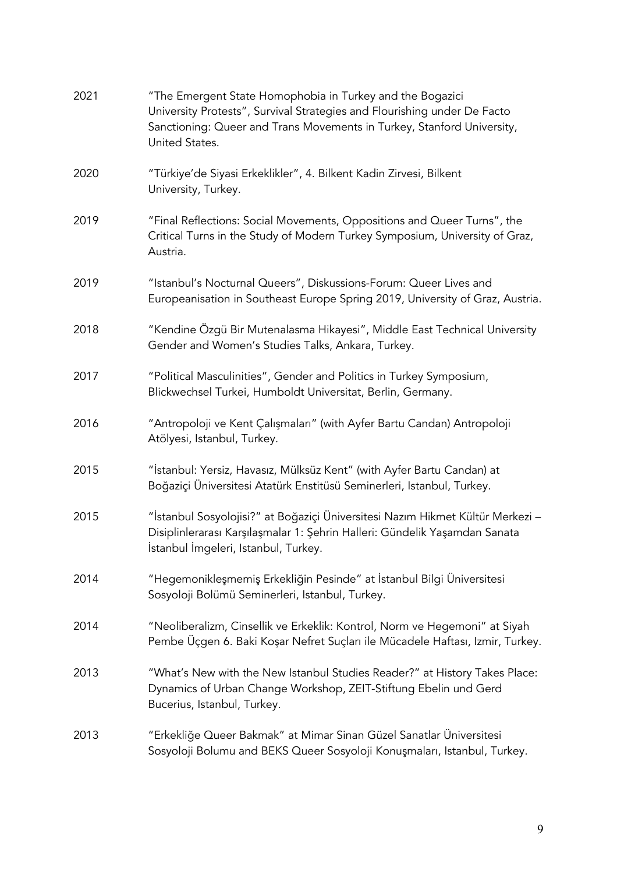| 2021 | "The Emergent State Homophobia in Turkey and the Bogazici<br>University Protests", Survival Strategies and Flourishing under De Facto<br>Sanctioning: Queer and Trans Movements in Turkey, Stanford University,<br>United States. |
|------|-----------------------------------------------------------------------------------------------------------------------------------------------------------------------------------------------------------------------------------|
| 2020 | "Türkiye'de Siyasi Erkeklikler", 4. Bilkent Kadin Zirvesi, Bilkent<br>University, Turkey.                                                                                                                                         |
| 2019 | "Final Reflections: Social Movements, Oppositions and Queer Turns", the<br>Critical Turns in the Study of Modern Turkey Symposium, University of Graz,<br>Austria.                                                                |
| 2019 | "Istanbul's Nocturnal Queers", Diskussions-Forum: Queer Lives and<br>Europeanisation in Southeast Europe Spring 2019, University of Graz, Austria.                                                                                |
| 2018 | "Kendine Özgü Bir Mutenalasma Hikayesi", Middle East Technical University<br>Gender and Women's Studies Talks, Ankara, Turkey.                                                                                                    |
| 2017 | "Political Masculinities", Gender and Politics in Turkey Symposium,<br>Blickwechsel Turkei, Humboldt Universitat, Berlin, Germany.                                                                                                |
| 2016 | "Antropoloji ve Kent Çalışmaları" (with Ayfer Bartu Candan) Antropoloji<br>Atölyesi, Istanbul, Turkey.                                                                                                                            |
| 2015 | "İstanbul: Yersiz, Havasız, Mülksüz Kent" (with Ayfer Bartu Candan) at<br>Boğaziçi Üniversitesi Atatürk Enstitüsü Seminerleri, Istanbul, Turkey.                                                                                  |
| 2015 | "İstanbul Sosyolojisi?" at Boğaziçi Üniversitesi Nazım Hikmet Kültür Merkezi –<br>Disiplinlerarası Karşılaşmalar 1: Şehrin Halleri: Gündelik Yaşamdan Sanata<br>İstanbul İmgeleri, Istanbul, Turkey.                              |
| 2014 | "Hegemonikleşmemiş Erkekliğin Pesinde" at İstanbul Bilgi Üniversitesi<br>Sosyoloji Bolümü Seminerleri, Istanbul, Turkey.                                                                                                          |
| 2014 | "Neoliberalizm, Cinsellik ve Erkeklik: Kontrol, Norm ve Hegemoni" at Siyah<br>Pembe Üçgen 6. Baki Koşar Nefret Suçları ile Mücadele Haftası, Izmir, Turkey.                                                                       |
| 2013 | "What's New with the New Istanbul Studies Reader?" at History Takes Place:<br>Dynamics of Urban Change Workshop, ZEIT-Stiftung Ebelin und Gerd<br>Bucerius, Istanbul, Turkey.                                                     |
| 2013 | "Erkekliğe Queer Bakmak" at Mimar Sinan Güzel Sanatlar Üniversitesi<br>Sosyoloji Bolumu and BEKS Queer Sosyoloji Konuşmaları, Istanbul, Turkey.                                                                                   |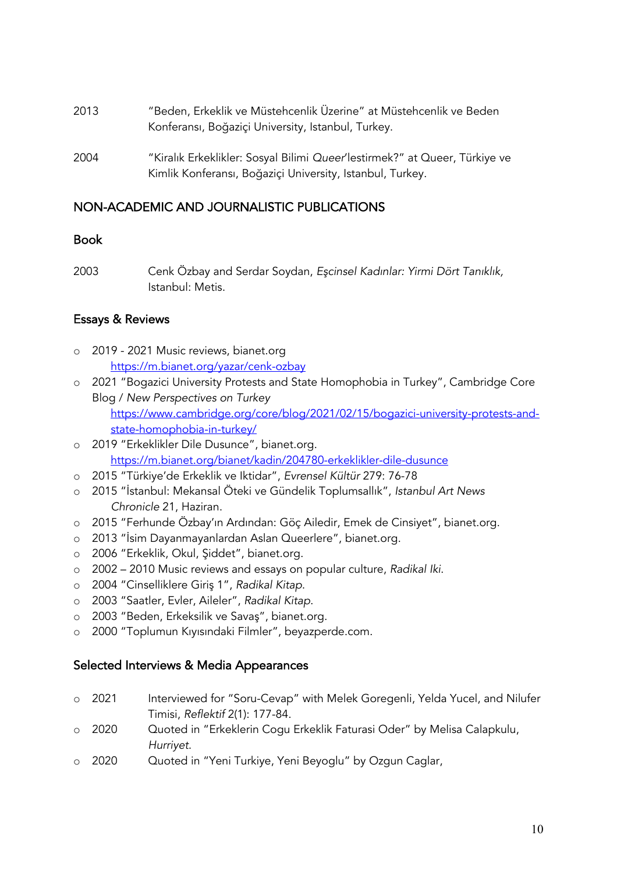- 2013 "Beden, Erkeklik ve Müstehcenlik Üzerine" at Müstehcenlik ve Beden Konferansı, Boğaziçi University, Istanbul, Turkey.
- 2004 "Kiralık Erkeklikler: Sosyal Bilimi *Queer*'lestirmek?" at Queer, Türkiye ve Kimlik Konferansı, Boğaziçi University, Istanbul, Turkey.

#### NON-ACADEMIC AND JOURNALISTIC PUBLICATIONS

#### Book

2003 Cenk Özbay and Serdar Soydan, *E*ş*cinsel Kadınlar: Yirmi Dört Tanıklık,*  Istanbul: Metis.

#### Essays & Reviews

- o 2019 2021 Music reviews, bianet.org https://m.bianet.org/yazar/cenk-ozbay
- o 2021 "Bogazici University Protests and State Homophobia in Turkey", Cambridge Core Blog / *New Perspectives on Turkey*

https://www.cambridge.org/core/blog/2021/02/15/bogazici-university-protests-andstate-homophobia-in-turkey/

- o 2019 "Erkeklikler Dile Dusunce", bianet.org. https://m.bianet.org/bianet/kadin/204780-erkeklikler-dile-dusunce
- o 2015 "Türkiye'de Erkeklik ve Iktidar", *Evrensel Kültür* 279: 76-78
- o 2015 "İstanbul: Mekansal Öteki ve Gündelik Toplumsallık", *Istanbul Art News Chronicle* 21, Haziran.
- o 2015 "Ferhunde Özbay'ın Ardından: Göç Ailedir, Emek de Cinsiyet", bianet.org.
- o 2013 "İsim Dayanmayanlardan Aslan Queerlere", bianet.org.
- o 2006 "Erkeklik, Okul, Şiddet", bianet.org.
- o 2002 2010 Music reviews and essays on popular culture, *Radikal Iki*.
- o 2004 "Cinselliklere Giriş 1", *Radikal Kitap*.
- o 2003 "Saatler, Evler, Aileler", *Radikal Kitap*.
- o 2003 "Beden, Erkeksilik ve Savaş", bianet.org.
- o 2000 "Toplumun Kıyısındaki Filmler", beyazperde.com.

#### Selected Interviews & Media Appearances

- o 2021 Interviewed for "Soru-Cevap" with Melek Goregenli, Yelda Yucel, and Nilufer Timisi, *Reflektif* 2(1): 177-84.
- o 2020 Quoted in "Erkeklerin Cogu Erkeklik Faturasi Oder" by Melisa Calapkulu, *Hurriyet*.
- o 2020 Quoted in "Yeni Turkiye, Yeni Beyoglu" by Ozgun Caglar,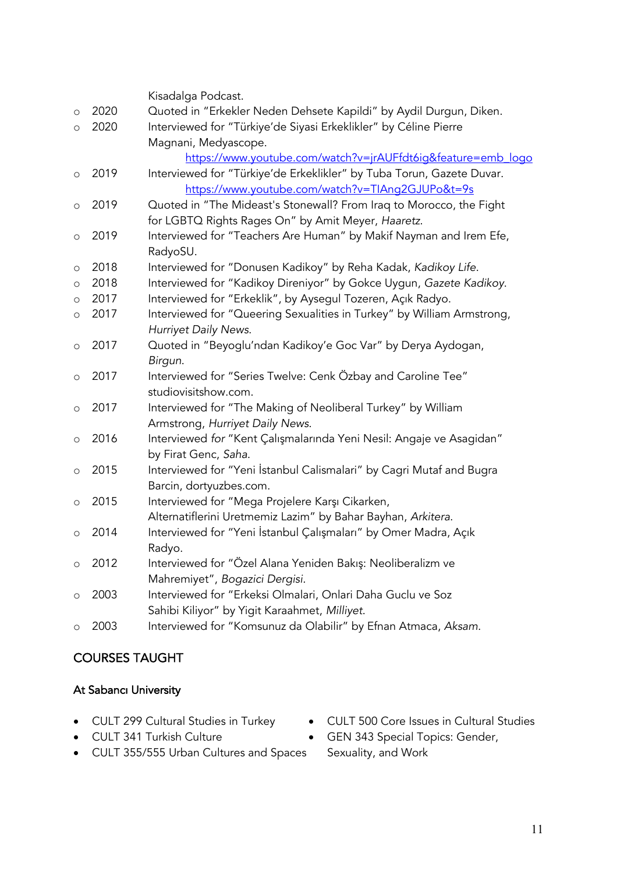|         |      | Kisadalga Podcast.                                                     |
|---------|------|------------------------------------------------------------------------|
| $\circ$ | 2020 | Quoted in "Erkekler Neden Dehsete Kapildi" by Aydil Durgun, Diken.     |
| $\circ$ | 2020 | Interviewed for "Türkiye'de Siyasi Erkeklikler" by Céline Pierre       |
|         |      | Magnani, Medyascope.                                                   |
|         |      | https://www.youtube.com/watch?v=jrAUFfdt6ig&feature=emb logo           |
| $\circ$ | 2019 | Interviewed for "Türkiye'de Erkeklikler" by Tuba Torun, Gazete Duvar.  |
|         |      | https://www.youtube.com/watch?v=TIAng2GJUPo&t=9s                       |
| O       | 2019 | Quoted in "The Mideast's Stonewall? From Iraq to Morocco, the Fight    |
|         |      | for LGBTQ Rights Rages On" by Amit Meyer, Haaretz.                     |
| $\circ$ | 2019 | Interviewed for "Teachers Are Human" by Makif Nayman and Irem Efe,     |
|         |      | RadyoSU.                                                               |
| O       | 2018 | Interviewed for "Donusen Kadikoy" by Reha Kadak, Kadikoy Life.         |
| $\circ$ | 2018 | Interviewed for "Kadikoy Direniyor" by Gokce Uygun, Gazete Kadikoy.    |
| $\circ$ | 2017 | Interviewed for "Erkeklik", by Aysegul Tozeren, Açık Radyo.            |
| $\circ$ | 2017 | Interviewed for "Queering Sexualities in Turkey" by William Armstrong, |
|         |      | Hurriyet Daily News.                                                   |
| $\circ$ | 2017 | Quoted in "Beyoglu'ndan Kadikoy'e Goc Var" by Derya Aydogan,           |
|         |      | Birgun.                                                                |
| $\circ$ | 2017 | Interviewed for "Series Twelve: Cenk Özbay and Caroline Tee"           |
|         |      | studiovisitshow.com.                                                   |
| $\circ$ | 2017 | Interviewed for "The Making of Neoliberal Turkey" by William           |
|         |      | Armstrong, Hurriyet Daily News.                                        |
| $\circ$ | 2016 | Interviewed for "Kent Çalışmalarında Yeni Nesil: Angaje ve Asagidan"   |
|         |      | by Firat Genc, Saha.                                                   |
| $\circ$ | 2015 | Interviewed for "Yeni İstanbul Calismalari" by Cagri Mutaf and Bugra   |
|         |      | Barcin, dortyuzbes.com.                                                |
| $\circ$ | 2015 | Interviewed for "Mega Projelere Karşı Cikarken,                        |
|         |      | Alternatiflerini Uretmemiz Lazim" by Bahar Bayhan, Arkitera.           |
| $\circ$ | 2014 | Interviewed for "Yeni İstanbul Çalışmaları" by Omer Madra, Açık        |
|         |      | Radyo.                                                                 |
| $\circ$ | 2012 | Interviewed for "Özel Alana Yeniden Bakış: Neoliberalizm ve            |
|         |      | Mahremiyet", Bogazici Dergisi.                                         |
| $\circ$ | 2003 | Interviewed for "Erkeksi Olmalari, Onlari Daha Guclu ve Soz            |
|         |      | Sahibi Kiliyor" by Yigit Karaahmet, Milliyet.                          |
| O       | 2003 | Interviewed for "Komsunuz da Olabilir" by Efnan Atmaca, Aksam.         |

# COURSES TAUGHT

# At Sabancı University

- CULT 299 Cultural Studies in Turkey
- CULT 341 Turkish Culture
- CULT 500 Core Issues in Cultural Studies • GEN 343 Special Topics: Gender,
- CULT 355/555 Urban Cultures and Spaces
- Sexuality, and Work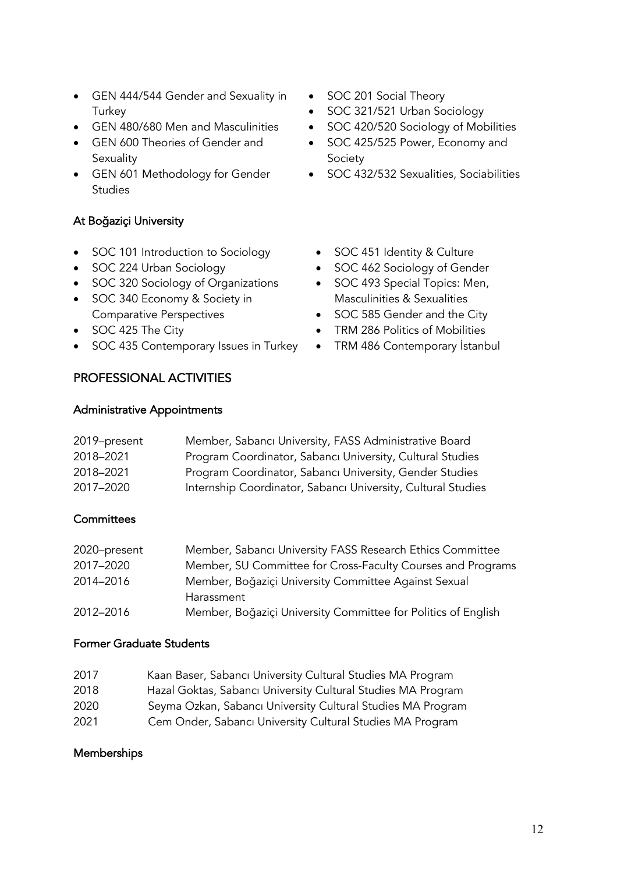- GEN 444/544 Gender and Sexuality in **Turkey**
- GEN 480/680 Men and Masculinities
- GEN 600 Theories of Gender and **Sexuality**
- GEN 601 Methodology for Gender **Studies**

#### At Boğaziçi University

- SOC 101 Introduction to Sociology
- SOC 224 Urban Sociology
- SOC 320 Sociology of Organizations
- SOC 340 Economy & Society in Comparative Perspectives
- SOC 425 The City
- SOC 435 Contemporary Issues in Turkey
- PROFESSIONAL ACTIVITIES

#### Administrative Appointments

- SOC 201 Social Theory
- SOC 321/521 Urban Sociology
- SOC 420/520 Sociology of Mobilities
- SOC 425/525 Power, Economy and Society
- SOC 432/532 Sexualities, Sociabilities
	- SOC 451 Identity & Culture
	- SOC 462 Sociology of Gender
	- SOC 493 Special Topics: Men, Masculinities & Sexualities
	- SOC 585 Gender and the City
	- TRM 286 Politics of Mobilities
	- TRM 486 Contemporary İstanbul
- 2019–present Member, Sabancı University, FASS Administrative Board 2018–2021 Program Coordinator, Sabancı University, Cultural Studies 2018–2021 Program Coordinator, Sabancı University, Gender Studies 2017–2020 Internship Coordinator, Sabancı University, Cultural Studies

#### **Committees**

| 2020-present | Member, Sabancı University FASS Research Ethics Committee     |
|--------------|---------------------------------------------------------------|
| 2017-2020    | Member, SU Committee for Cross-Faculty Courses and Programs   |
| 2014-2016    | Member, Boğaziçi University Committee Against Sexual          |
|              | Harassment                                                    |
| 2012-2016    | Member, Boğaziçi University Committee for Politics of English |

#### Former Graduate Students

| 2017 | Kaan Baser, Sabancı University Cultural Studies MA Program   |
|------|--------------------------------------------------------------|
| 2018 | Hazal Goktas, Sabancı University Cultural Studies MA Program |
| 2020 | Seyma Ozkan, Sabancı University Cultural Studies MA Program  |
| 2021 | Cem Onder, Sabancı University Cultural Studies MA Program    |

#### **Memberships**